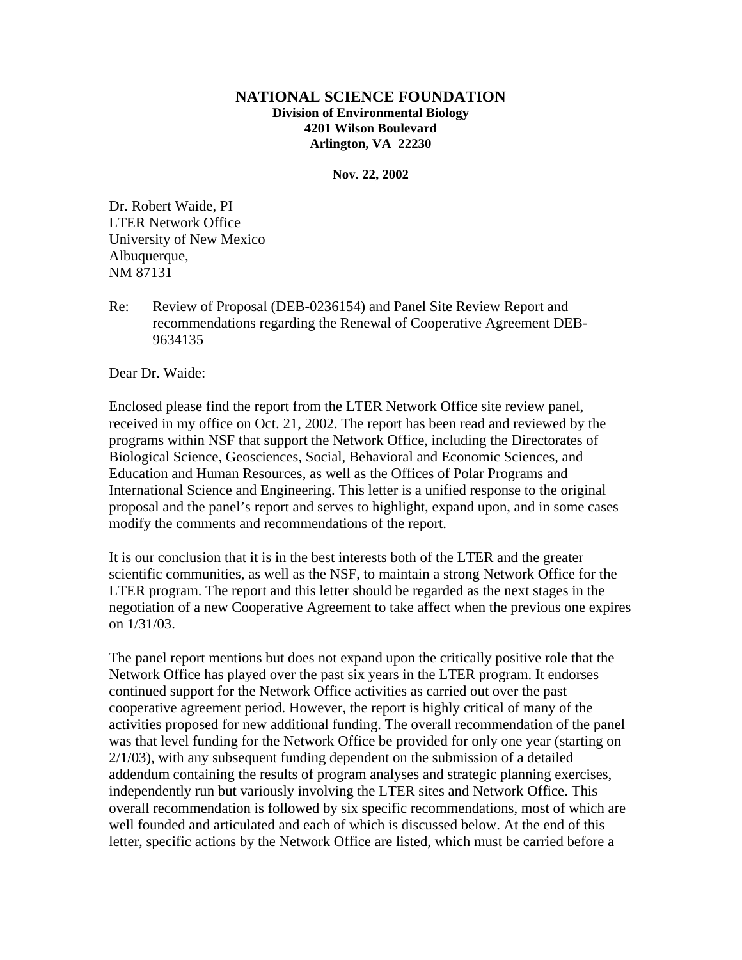## **NATIONAL SCIENCE FOUNDATION Division of Environmental Biology 4201 Wilson Boulevard Arlington, VA 22230**

**Nov. 22, 2002** 

Dr. Robert Waide, PI LTER Network Office University of New Mexico Albuquerque, NM 87131

Re: Review of Proposal (DEB-0236154) and Panel Site Review Report and recommendations regarding the Renewal of Cooperative Agreement DEB-9634135

Dear Dr. Waide:

Enclosed please find the report from the LTER Network Office site review panel, received in my office on Oct. 21, 2002. The report has been read and reviewed by the programs within NSF that support the Network Office, including the Directorates of Biological Science, Geosciences, Social, Behavioral and Economic Sciences, and Education and Human Resources, as well as the Offices of Polar Programs and International Science and Engineering. This letter is a unified response to the original proposal and the panel's report and serves to highlight, expand upon, and in some cases modify the comments and recommendations of the report.

It is our conclusion that it is in the best interests both of the LTER and the greater scientific communities, as well as the NSF, to maintain a strong Network Office for the LTER program. The report and this letter should be regarded as the next stages in the negotiation of a new Cooperative Agreement to take affect when the previous one expires on 1/31/03.

The panel report mentions but does not expand upon the critically positive role that the Network Office has played over the past six years in the LTER program. It endorses continued support for the Network Office activities as carried out over the past cooperative agreement period. However, the report is highly critical of many of the activities proposed for new additional funding. The overall recommendation of the panel was that level funding for the Network Office be provided for only one year (starting on 2/1/03), with any subsequent funding dependent on the submission of a detailed addendum containing the results of program analyses and strategic planning exercises, independently run but variously involving the LTER sites and Network Office. This overall recommendation is followed by six specific recommendations, most of which are well founded and articulated and each of which is discussed below. At the end of this letter, specific actions by the Network Office are listed, which must be carried before a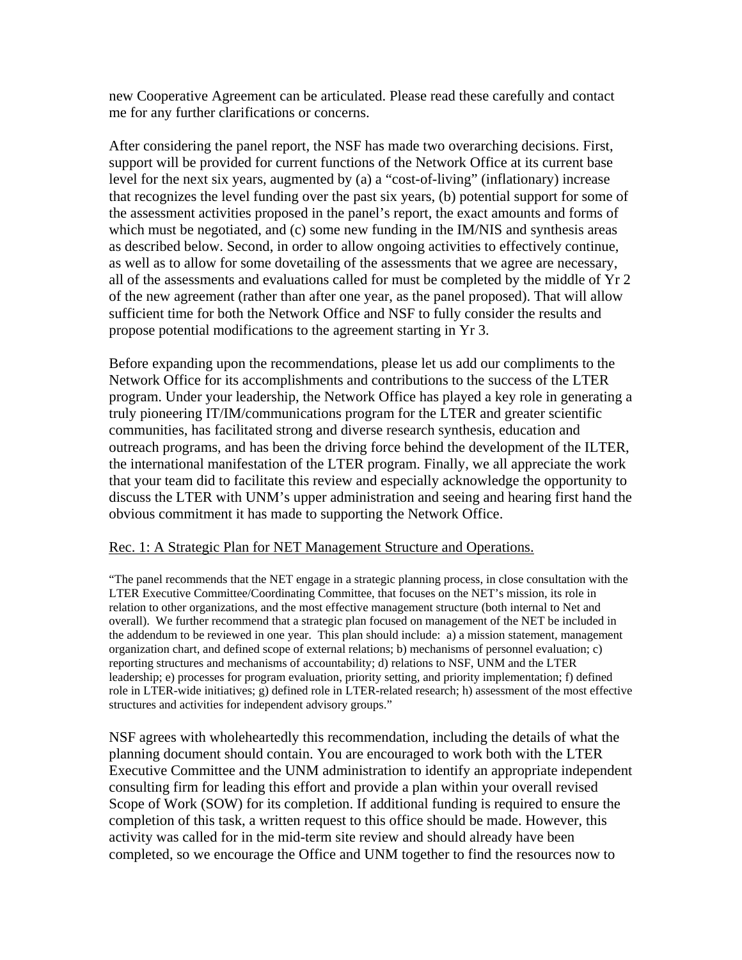new Cooperative Agreement can be articulated. Please read these carefully and contact me for any further clarifications or concerns.

After considering the panel report, the NSF has made two overarching decisions. First, support will be provided for current functions of the Network Office at its current base level for the next six years, augmented by (a) a "cost-of-living" (inflationary) increase that recognizes the level funding over the past six years, (b) potential support for some of the assessment activities proposed in the panel's report, the exact amounts and forms of which must be negotiated, and (c) some new funding in the IM/NIS and synthesis areas as described below. Second, in order to allow ongoing activities to effectively continue, as well as to allow for some dovetailing of the assessments that we agree are necessary, all of the assessments and evaluations called for must be completed by the middle of Yr 2 of the new agreement (rather than after one year, as the panel proposed). That will allow sufficient time for both the Network Office and NSF to fully consider the results and propose potential modifications to the agreement starting in Yr 3.

Before expanding upon the recommendations, please let us add our compliments to the Network Office for its accomplishments and contributions to the success of the LTER program. Under your leadership, the Network Office has played a key role in generating a truly pioneering IT/IM/communications program for the LTER and greater scientific communities, has facilitated strong and diverse research synthesis, education and outreach programs, and has been the driving force behind the development of the ILTER, the international manifestation of the LTER program. Finally, we all appreciate the work that your team did to facilitate this review and especially acknowledge the opportunity to discuss the LTER with UNM's upper administration and seeing and hearing first hand the obvious commitment it has made to supporting the Network Office.

# Rec. 1: A Strategic Plan for NET Management Structure and Operations.

"The panel recommends that the NET engage in a strategic planning process, in close consultation with the LTER Executive Committee/Coordinating Committee, that focuses on the NET's mission, its role in relation to other organizations, and the most effective management structure (both internal to Net and overall). We further recommend that a strategic plan focused on management of the NET be included in the addendum to be reviewed in one year. This plan should include: a) a mission statement, management organization chart, and defined scope of external relations; b) mechanisms of personnel evaluation; c) reporting structures and mechanisms of accountability; d) relations to NSF, UNM and the LTER leadership; e) processes for program evaluation, priority setting, and priority implementation; f) defined role in LTER-wide initiatives; g) defined role in LTER-related research; h) assessment of the most effective structures and activities for independent advisory groups."

NSF agrees with wholeheartedly this recommendation, including the details of what the planning document should contain. You are encouraged to work both with the LTER Executive Committee and the UNM administration to identify an appropriate independent consulting firm for leading this effort and provide a plan within your overall revised Scope of Work (SOW) for its completion. If additional funding is required to ensure the completion of this task, a written request to this office should be made. However, this activity was called for in the mid-term site review and should already have been completed, so we encourage the Office and UNM together to find the resources now to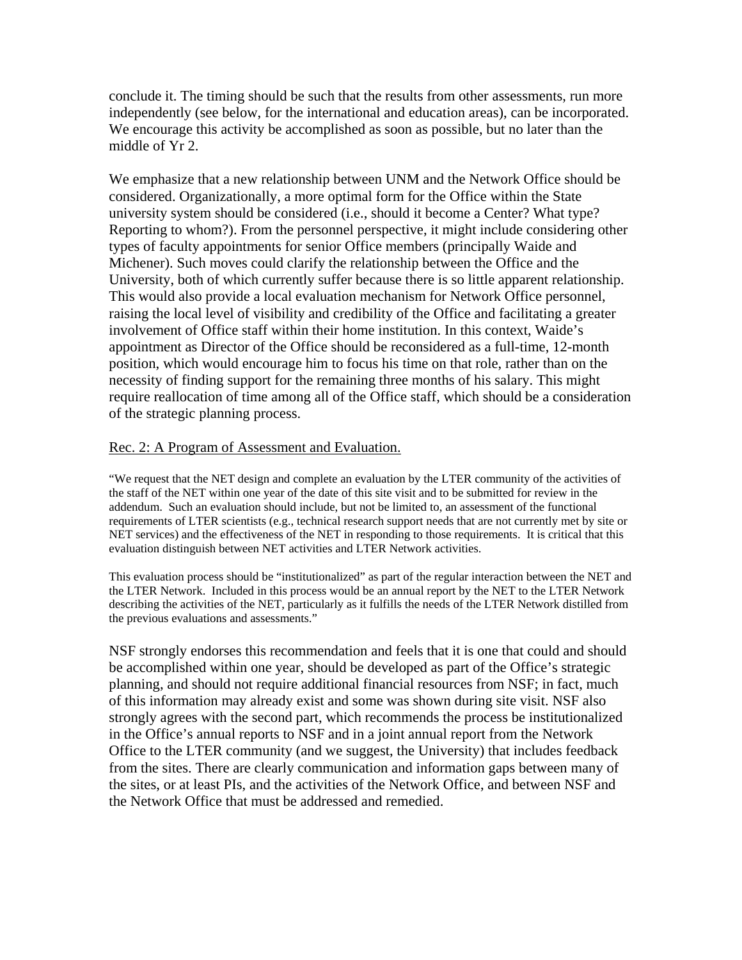conclude it. The timing should be such that the results from other assessments, run more independently (see below, for the international and education areas), can be incorporated. We encourage this activity be accomplished as soon as possible, but no later than the middle of Yr 2.

We emphasize that a new relationship between UNM and the Network Office should be considered. Organizationally, a more optimal form for the Office within the State university system should be considered (i.e., should it become a Center? What type? Reporting to whom?). From the personnel perspective, it might include considering other types of faculty appointments for senior Office members (principally Waide and Michener). Such moves could clarify the relationship between the Office and the University, both of which currently suffer because there is so little apparent relationship. This would also provide a local evaluation mechanism for Network Office personnel, raising the local level of visibility and credibility of the Office and facilitating a greater involvement of Office staff within their home institution. In this context, Waide's appointment as Director of the Office should be reconsidered as a full-time, 12-month position, which would encourage him to focus his time on that role, rather than on the necessity of finding support for the remaining three months of his salary. This might require reallocation of time among all of the Office staff, which should be a consideration of the strategic planning process.

#### Rec. 2: A Program of Assessment and Evaluation.

"We request that the NET design and complete an evaluation by the LTER community of the activities of the staff of the NET within one year of the date of this site visit and to be submitted for review in the addendum. Such an evaluation should include, but not be limited to, an assessment of the functional requirements of LTER scientists (e.g., technical research support needs that are not currently met by site or NET services) and the effectiveness of the NET in responding to those requirements. It is critical that this evaluation distinguish between NET activities and LTER Network activities.

This evaluation process should be "institutionalized" as part of the regular interaction between the NET and the LTER Network. Included in this process would be an annual report by the NET to the LTER Network describing the activities of the NET, particularly as it fulfills the needs of the LTER Network distilled from the previous evaluations and assessments."

NSF strongly endorses this recommendation and feels that it is one that could and should be accomplished within one year, should be developed as part of the Office's strategic planning, and should not require additional financial resources from NSF; in fact, much of this information may already exist and some was shown during site visit. NSF also strongly agrees with the second part, which recommends the process be institutionalized in the Office's annual reports to NSF and in a joint annual report from the Network Office to the LTER community (and we suggest, the University) that includes feedback from the sites. There are clearly communication and information gaps between many of the sites, or at least PIs, and the activities of the Network Office, and between NSF and the Network Office that must be addressed and remedied.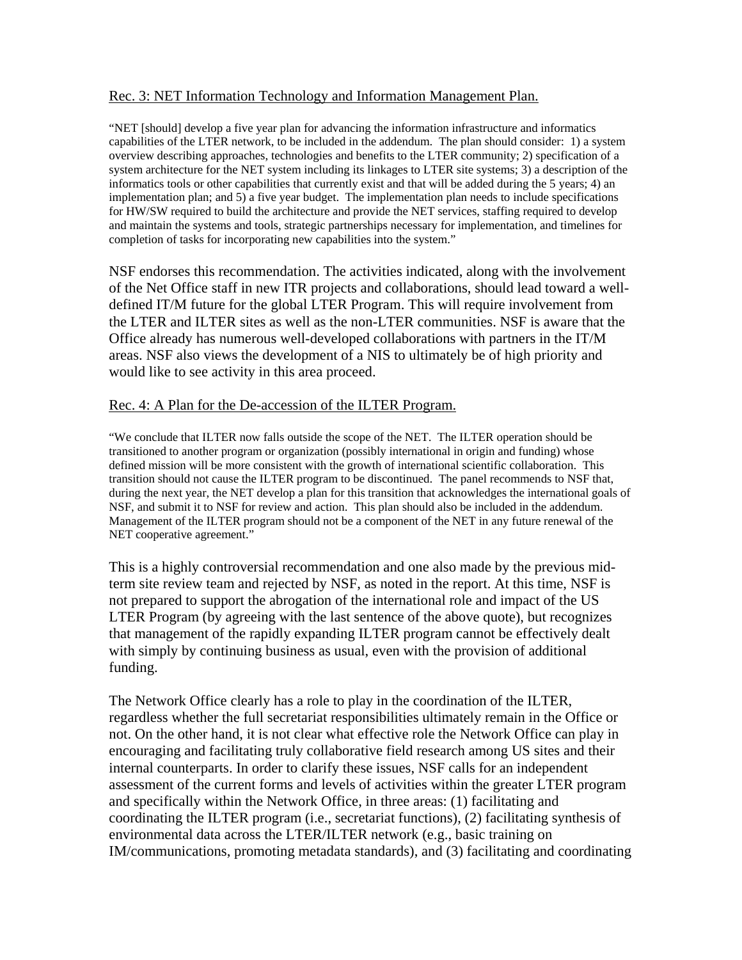# Rec. 3: NET Information Technology and Information Management Plan.

"NET [should] develop a five year plan for advancing the information infrastructure and informatics capabilities of the LTER network, to be included in the addendum. The plan should consider: 1) a system overview describing approaches, technologies and benefits to the LTER community; 2) specification of a system architecture for the NET system including its linkages to LTER site systems; 3) a description of the informatics tools or other capabilities that currently exist and that will be added during the 5 years; 4) an implementation plan; and 5) a five year budget. The implementation plan needs to include specifications for HW/SW required to build the architecture and provide the NET services, staffing required to develop and maintain the systems and tools, strategic partnerships necessary for implementation, and timelines for completion of tasks for incorporating new capabilities into the system."

NSF endorses this recommendation. The activities indicated, along with the involvement of the Net Office staff in new ITR projects and collaborations, should lead toward a welldefined IT/M future for the global LTER Program. This will require involvement from the LTER and ILTER sites as well as the non-LTER communities. NSF is aware that the Office already has numerous well-developed collaborations with partners in the IT/M areas. NSF also views the development of a NIS to ultimately be of high priority and would like to see activity in this area proceed.

## Rec. 4: A Plan for the De-accession of the ILTER Program.

"We conclude that ILTER now falls outside the scope of the NET. The ILTER operation should be transitioned to another program or organization (possibly international in origin and funding) whose defined mission will be more consistent with the growth of international scientific collaboration. This transition should not cause the ILTER program to be discontinued. The panel recommends to NSF that, during the next year, the NET develop a plan for this transition that acknowledges the international goals of NSF, and submit it to NSF for review and action. This plan should also be included in the addendum. Management of the ILTER program should not be a component of the NET in any future renewal of the NET cooperative agreement."

This is a highly controversial recommendation and one also made by the previous midterm site review team and rejected by NSF, as noted in the report. At this time, NSF is not prepared to support the abrogation of the international role and impact of the US LTER Program (by agreeing with the last sentence of the above quote), but recognizes that management of the rapidly expanding ILTER program cannot be effectively dealt with simply by continuing business as usual, even with the provision of additional funding.

The Network Office clearly has a role to play in the coordination of the ILTER, regardless whether the full secretariat responsibilities ultimately remain in the Office or not. On the other hand, it is not clear what effective role the Network Office can play in encouraging and facilitating truly collaborative field research among US sites and their internal counterparts. In order to clarify these issues, NSF calls for an independent assessment of the current forms and levels of activities within the greater LTER program and specifically within the Network Office, in three areas: (1) facilitating and coordinating the ILTER program (i.e., secretariat functions), (2) facilitating synthesis of environmental data across the LTER/ILTER network (e.g., basic training on IM/communications, promoting metadata standards), and (3) facilitating and coordinating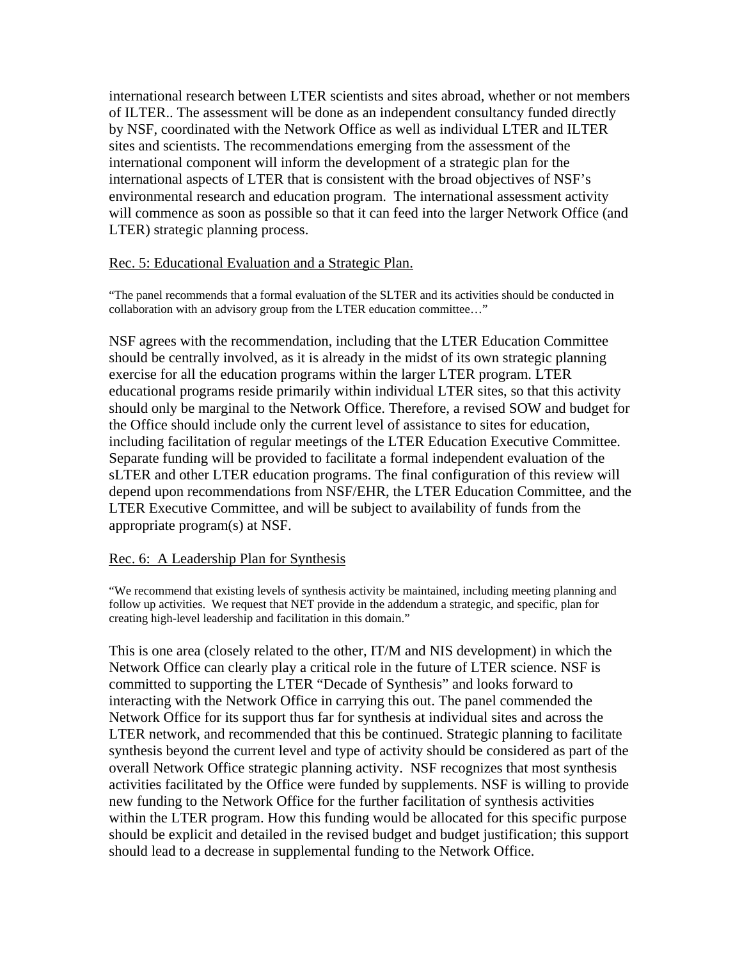international research between LTER scientists and sites abroad, whether or not members of ILTER.. The assessment will be done as an independent consultancy funded directly by NSF, coordinated with the Network Office as well as individual LTER and ILTER sites and scientists. The recommendations emerging from the assessment of the international component will inform the development of a strategic plan for the international aspects of LTER that is consistent with the broad objectives of NSF's environmental research and education program. The international assessment activity will commence as soon as possible so that it can feed into the larger Network Office (and LTER) strategic planning process.

## Rec. 5: Educational Evaluation and a Strategic Plan.

"The panel recommends that a formal evaluation of the SLTER and its activities should be conducted in collaboration with an advisory group from the LTER education committee…"

NSF agrees with the recommendation, including that the LTER Education Committee should be centrally involved, as it is already in the midst of its own strategic planning exercise for all the education programs within the larger LTER program. LTER educational programs reside primarily within individual LTER sites, so that this activity should only be marginal to the Network Office. Therefore, a revised SOW and budget for the Office should include only the current level of assistance to sites for education, including facilitation of regular meetings of the LTER Education Executive Committee. Separate funding will be provided to facilitate a formal independent evaluation of the sLTER and other LTER education programs. The final configuration of this review will depend upon recommendations from NSF/EHR, the LTER Education Committee, and the LTER Executive Committee, and will be subject to availability of funds from the appropriate program(s) at NSF.

#### Rec. 6: A Leadership Plan for Synthesis

"We recommend that existing levels of synthesis activity be maintained, including meeting planning and follow up activities. We request that NET provide in the addendum a strategic, and specific, plan for creating high-level leadership and facilitation in this domain."

This is one area (closely related to the other, IT/M and NIS development) in which the Network Office can clearly play a critical role in the future of LTER science. NSF is committed to supporting the LTER "Decade of Synthesis" and looks forward to interacting with the Network Office in carrying this out. The panel commended the Network Office for its support thus far for synthesis at individual sites and across the LTER network, and recommended that this be continued. Strategic planning to facilitate synthesis beyond the current level and type of activity should be considered as part of the overall Network Office strategic planning activity. NSF recognizes that most synthesis activities facilitated by the Office were funded by supplements. NSF is willing to provide new funding to the Network Office for the further facilitation of synthesis activities within the LTER program. How this funding would be allocated for this specific purpose should be explicit and detailed in the revised budget and budget justification; this support should lead to a decrease in supplemental funding to the Network Office.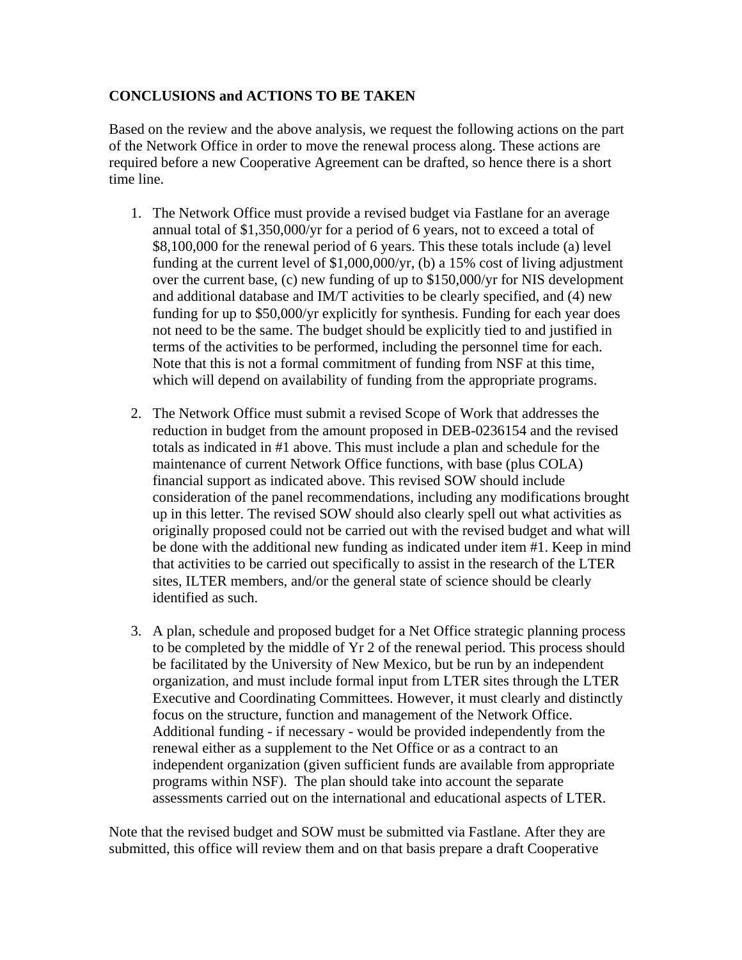# **CONCLUSIONS and ACTIONS TO BE TAKEN**

Based on the review and the above analysis, we request the following actions on the part of the Network Office in order to move the renewal process along. These actions are required before a new Cooperative Agreement can be drafted, so hence there is a short time line.

- 1. The Network Office must provide a revised budget via Fastlane for an average annual total of \$1,350,000/yr for a period of 6 years, not to exceed a total of \$8,100,000 for the renewal period of 6 years. This these totals include (a) level funding at the current level of \$1,000,000/yr, (b) a 15% cost of living adjustment over the current base, (c) new funding of up to \$150,000/yr for NIS development and additional database and IM/T activities to be clearly specified, and (4) new funding for up to \$50,000/yr explicitly for synthesis. Funding for each year does not need to be the same. The budget should be explicitly tied to and justified in terms of the activities to be performed, including the personnel time for each. Note that this is not a formal commitment of funding from NSF at this time, which will depend on availability of funding from the appropriate programs.
- 2. The Network Office must submit a revised Scope of Work that addresses the reduction in budget from the amount proposed in DEB-0236154 and the revised totals as indicated in #1 above. This must include a plan and schedule for the maintenance of current Network Office functions, with base (plus COLA) financial support as indicated above. This revised SOW should include consideration of the panel recommendations, including any modifications brought up in this letter. The revised SOW should also clearly spell out what activities as originally proposed could not be carried out with the revised budget and what will be done with the additional new funding as indicated under item #1. Keep in mind that activities to be carried out specifically to assist in the research of the LTER sites, ILTER members, and/or the general state of science should be clearly identified as such.
- 3. A plan, schedule and proposed budget for a Net Office strategic planning process to be completed by the middle of Yr 2 of the renewal period. This process should be facilitated by the University of New Mexico, but be run by an independent organization, and must include formal input from LTER sites through the LTER Executive and Coordinating Committees. However, it must clearly and distinctly focus on the structure, function and management of the Network Office. Additional funding - if necessary - would be provided independently from the renewal either as a supplement to the Net Office or as a contract to an independent organization (given sufficient funds are available from appropriate programs within NSF). The plan should take into account the separate assessments carried out on the international and educational aspects of LTER.

Note that the revised budget and SOW must be submitted via Fastlane. After they are submitted, this office will review them and on that basis prepare a draft Cooperative